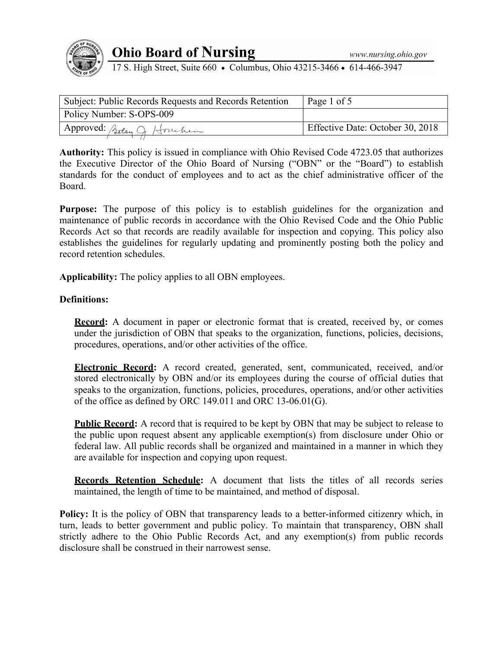

# **Ohio Board of Nursing**

17 S. High Street, Suite 660 • Columbus, Ohio 43215-3466 • 614-466-3947

| <sup>1</sup> Subject: Public Records Requests and Records Retention | Page 1 of 5                      |
|---------------------------------------------------------------------|----------------------------------|
| Policy Number: S-OPS-009                                            |                                  |
| Approved: Setsy Q. Houchen                                          | Effective Date: October 30, 2018 |
|                                                                     |                                  |

**Authority:** This policy is issued in compliance with Ohio Revised Code 4723.05 that authorizes the Executive Director of the Ohio Board of Nursing ("OBN" or the "Board") to establish standards for the conduct of employees and to act as the chief administrative officer of the Board.

Purpose: The purpose of this policy is to establish guidelines for the organization and maintenance of public records in accordance with the Ohio Revised Code and the Ohio Public Records Act so that records are readily available for inspection and copying. This policy also establishes the guidelines for regularly updating and prominently posting both the policy and record retention schedules.

**Applicability:** The policy applies to all OBN employees.

# **Definitions:**

**Record:** A document in paper or electronic format that is created, received by, or comes under the jurisdiction of OBN that speaks to the organization, functions, policies, decisions, procedures, operations, and/or other activities of the office.

**Electronic Record:** A record created, generated, sent, communicated, received, and/or stored electronically by OBN and/or its employees during the course of official duties that speaks to the organization, functions, policies, procedures, operations, and/or other activities of the office as defined by ORC 149.011 and ORC 13-06.01(G).

**Public Record:** A record that is required to be kept by OBN that may be subject to release to the public upon request absent any applicable exemption(s) from disclosure under Ohio or federal law. All public records shall be organized and maintained in a manner in which they are available for inspection and copying upon request.

**Records Retention Schedule:** A document that lists the titles of all records series maintained, the length of time to be maintained, and method of disposal.

**Policy:** It is the policy of OBN that transparency leads to a better-informed citizenry which, in turn, leads to better government and public policy. To maintain that transparency, OBN shall strictly adhere to the Ohio Public Records Act, and any exemption(s) from public records disclosure shall be construed in their narrowest sense.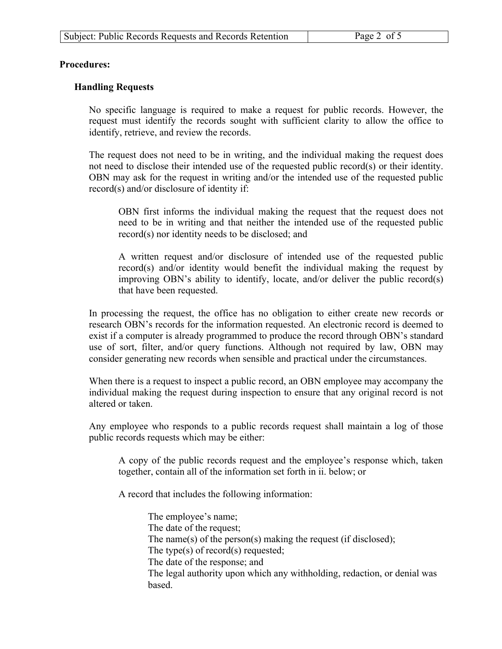5

### **Procedures:**

# **Handling Requests**

No specific language is required to make a request for public records. However, the request must identify the records sought with sufficient clarity to allow the office to identify, retrieve, and review the records.

The request does not need to be in writing, and the individual making the request does not need to disclose their intended use of the requested public record(s) or their identity. OBN may ask for the request in writing and/or the intended use of the requested public record(s) and/or disclosure of identity if:

OBN first informs the individual making the request that the request does not need to be in writing and that neither the intended use of the requested public record(s) nor identity needs to be disclosed; and

A written request and/or disclosure of intended use of the requested public record(s) and/or identity would benefit the individual making the request by improving OBN's ability to identify, locate, and/or deliver the public record(s) that have been requested.

In processing the request, the office has no obligation to either create new records or research OBN's records for the information requested. An electronic record is deemed to exist if a computer is already programmed to produce the record through OBN's standard use of sort, filter, and/or query functions. Although not required by law, OBN may consider generating new records when sensible and practical under the circumstances.

When there is a request to inspect a public record, an OBN employee may accompany the individual making the request during inspection to ensure that any original record is not altered or taken.

Any employee who responds to a public records request shall maintain a log of those public records requests which may be either:

A copy of the public records request and the employee's response which, taken together, contain all of the information set forth in ii. below; or

A record that includes the following information:

The employee's name; The date of the request; The name(s) of the person(s) making the request (if disclosed); The type(s) of record(s) requested; The date of the response; and The legal authority upon which any withholding, redaction, or denial was based.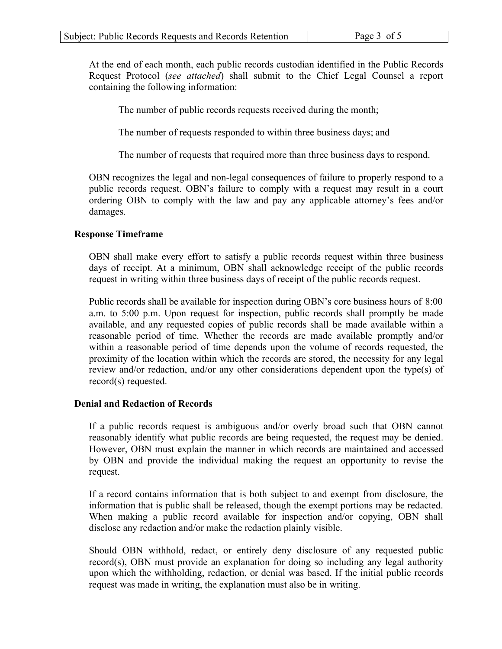At the end of each month, each public records custodian identified in the Public Records Request Protocol (*see attached*) shall submit to the Chief Legal Counsel a report containing the following information:

5

The number of public records requests received during the month;

The number of requests responded to within three business days; and

The number of requests that required more than three business days to respond.

OBN recognizes the legal and non-legal consequences of failure to properly respond to a public records request. OBN's failure to comply with a request may result in a court ordering OBN to comply with the law and pay any applicable attorney's fees and/or damages.

### **Response Timeframe**

OBN shall make every effort to satisfy a public records request within three business days of receipt. At a minimum, OBN shall acknowledge receipt of the public records request in writing within three business days of receipt of the public records request.

Public records shall be available for inspection during OBN's core business hours of 8:00 a.m. to 5:00 p.m. Upon request for inspection, public records shall promptly be made available, and any requested copies of public records shall be made available within a reasonable period of time. Whether the records are made available promptly and/or within a reasonable period of time depends upon the volume of records requested, the proximity of the location within which the records are stored, the necessity for any legal review and/or redaction, and/or any other considerations dependent upon the type(s) of record(s) requested.

### **Denial and Redaction of Records**

If a public records request is ambiguous and/or overly broad such that OBN cannot reasonably identify what public records are being requested, the request may be denied. However, OBN must explain the manner in which records are maintained and accessed by OBN and provide the individual making the request an opportunity to revise the request.

If a record contains information that is both subject to and exempt from disclosure, the information that is public shall be released, though the exempt portions may be redacted. When making a public record available for inspection and/or copying, OBN shall disclose any redaction and/or make the redaction plainly visible.

Should OBN withhold, redact, or entirely deny disclosure of any requested public record(s), OBN must provide an explanation for doing so including any legal authority upon which the withholding, redaction, or denial was based. If the initial public records request was made in writing, the explanation must also be in writing.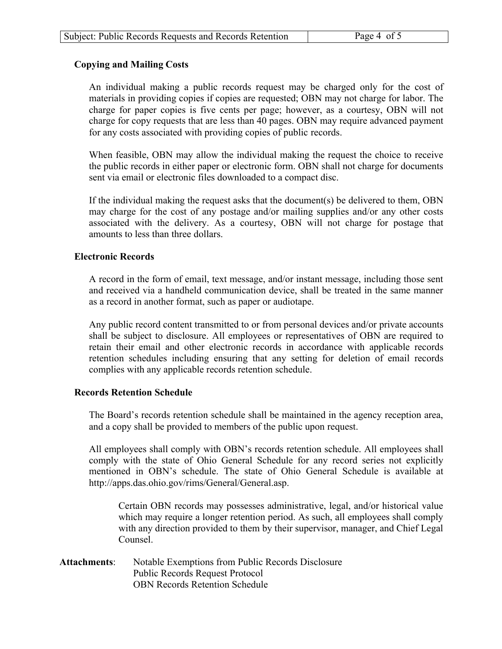5

# **Copying and Mailing Costs**

An individual making a public records request may be charged only for the cost of materials in providing copies if copies are requested; OBN may not charge for labor. The charge for paper copies is five cents per page; however, as a courtesy, OBN will not charge for copy requests that are less than 40 pages. OBN may require advanced payment for any costs associated with providing copies of public records.

When feasible, OBN may allow the individual making the request the choice to receive the public records in either paper or electronic form. OBN shall not charge for documents sent via email or electronic files downloaded to a compact disc.

If the individual making the request asks that the document(s) be delivered to them, OBN may charge for the cost of any postage and/or mailing supplies and/or any other costs associated with the delivery. As a courtesy, OBN will not charge for postage that amounts to less than three dollars.

### **Electronic Records**

A record in the form of email, text message, and/or instant message, including those sent and received via a handheld communication device, shall be treated in the same manner as a record in another format, such as paper or audiotape.

Any public record content transmitted to or from personal devices and/or private accounts shall be subject to disclosure. All employees or representatives of OBN are required to retain their email and other electronic records in accordance with applicable records retention schedules including ensuring that any setting for deletion of email records complies with any applicable records retention schedule.

### **Records Retention Schedule**

The Board's records retention schedule shall be maintained in the agency reception area, and a copy shall be provided to members of the public upon request.

All employees shall comply with OBN's records retention schedule. All employees shall comply with the state of Ohio General Schedule for any record series not explicitly mentioned in OBN's schedule. The state of Ohio General Schedule is available at http://apps.das.ohio.gov/rims/General/General.asp.

Certain OBN records may possesses administrative, legal, and/or historical value which may require a longer retention period. As such, all employees shall comply with any direction provided to them by their supervisor, manager, and Chief Legal Counsel.

**Attachments**: Notable Exemptions from Public Records Disclosure Public Records Request Protocol OBN Records Retention Schedule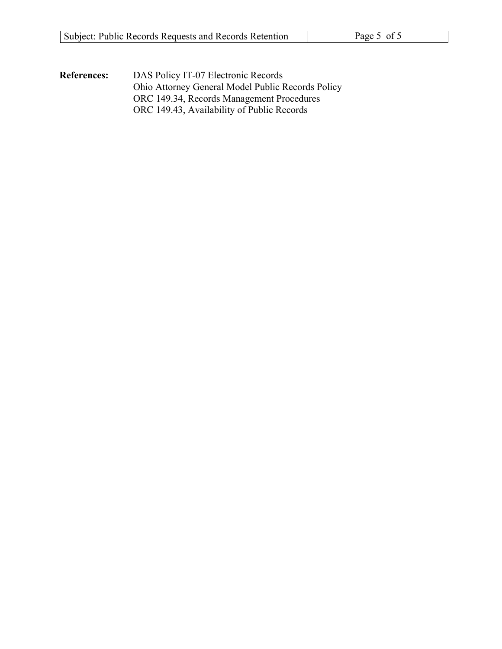| Subject: Public Records Requests and Records Retention | Page 5 of 5 |
|--------------------------------------------------------|-------------|
|                                                        |             |

5

**References:** DAS Policy IT-07 Electronic Records Ohio Attorney General Model Public Records Policy ORC 149.34, Records Management Procedures ORC 149.43, Availability of Public Records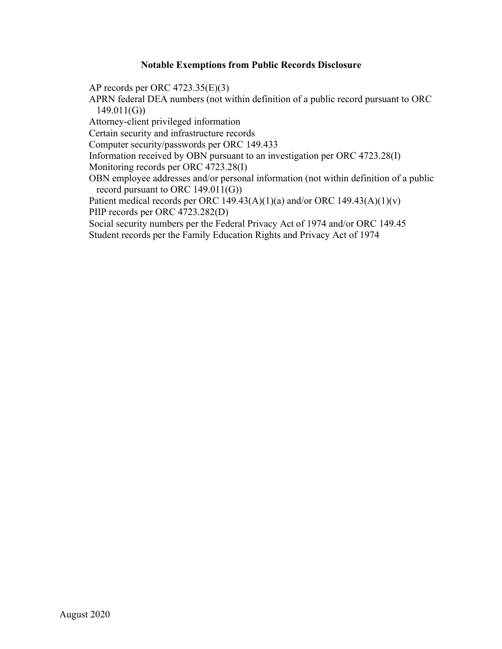# **Notable Exemptions from Public Records Disclosure**

AP records per ORC 4723.35(E)(3)

APRN federal DEA numbers (not within definition of a public record pursuant to ORC 149.011(G))

Attorney-client privileged information

Certain security and infrastructure records

Computer security/passwords per ORC 149.433

Information received by OBN pursuant to an investigation per ORC 4723.28(I)

Monitoring records per ORC 4723.28(I)

OBN employee addresses and/or personal information (not within definition of a public record pursuant to ORC 149.011(G))

Patient medical records per ORC 149.43(A)(1)(a) and/or ORC 149.43(A)(1)(v) PIIP records per ORC 4723.282(D)

Social security numbers per the Federal Privacy Act of 1974 and/or ORC 149.45 Student records per the Family Education Rights and Privacy Act of 1974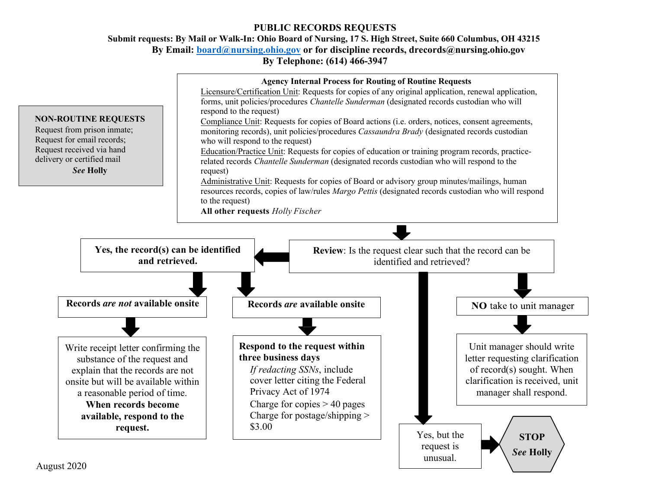# **PUBLIC RECORDS REQUESTS**

**Submit requests: By Mail or Walk-In: Ohio Board of Nursing, 17 S. High Street, Suite 660 Columbus, OH 43215 By Email: board@nursing.ohio.gov or for discipline records, drecords@nursing.ohio.gov By Telephone: (614) 466-3947**

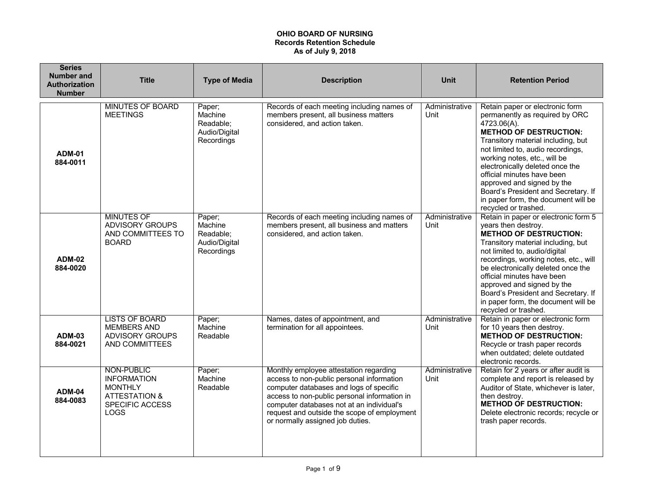| <b>Series</b><br><b>Number and</b><br><b>Authorization</b><br><b>Number</b> | <b>Title</b>                                                                                              | <b>Type of Media</b>                                          | <b>Description</b>                                                                                                                                                                                                                                                                                             | <b>Unit</b>            | <b>Retention Period</b>                                                                                                                                                                                                                                                                                                                                                                                                              |
|-----------------------------------------------------------------------------|-----------------------------------------------------------------------------------------------------------|---------------------------------------------------------------|----------------------------------------------------------------------------------------------------------------------------------------------------------------------------------------------------------------------------------------------------------------------------------------------------------------|------------------------|--------------------------------------------------------------------------------------------------------------------------------------------------------------------------------------------------------------------------------------------------------------------------------------------------------------------------------------------------------------------------------------------------------------------------------------|
| <b>ADM-01</b><br>884-0011                                                   | <b>MINUTES OF BOARD</b><br><b>MEETINGS</b>                                                                | Paper;<br>Machine<br>Readable;<br>Audio/Digital<br>Recordings | Records of each meeting including names of<br>members present, all business matters<br>considered, and action taken.                                                                                                                                                                                           | Administrative<br>Unit | Retain paper or electronic form<br>permanently as required by ORC<br>$4723.06(A)$ .<br><b>METHOD OF DESTRUCTION:</b><br>Transitory material including, but<br>not limited to, audio recordings,<br>working notes, etc., will be<br>electronically deleted once the<br>official minutes have been<br>approved and signed by the<br>Board's President and Secretary. If<br>in paper form, the document will be<br>recycled or trashed. |
| <b>ADM-02</b><br>884-0020                                                   | <b>MINUTES OF</b><br><b>ADVISORY GROUPS</b><br>AND COMMITTEES TO<br><b>BOARD</b>                          | Paper;<br>Machine<br>Readable:<br>Audio/Digital<br>Recordings | Records of each meeting including names of<br>members present, all business and matters<br>considered, and action taken.                                                                                                                                                                                       | Administrative<br>Unit | Retain in paper or electronic form 5<br>years then destroy.<br><b>METHOD OF DESTRUCTION:</b><br>Transitory material including, but<br>not limited to, audio/digital<br>recordings, working notes, etc., will<br>be electronically deleted once the<br>official minutes have been<br>approved and signed by the<br>Board's President and Secretary. If<br>in paper form, the document will be<br>recycled or trashed.                 |
| <b>ADM-03</b><br>884-0021                                                   | <b>LISTS OF BOARD</b><br><b>MEMBERS AND</b><br><b>ADVISORY GROUPS</b><br>AND COMMITTEES                   | Paper;<br>Machine<br>Readable                                 | Names, dates of appointment, and<br>termination for all appointees.                                                                                                                                                                                                                                            | Administrative<br>Unit | Retain in paper or electronic form<br>for 10 years then destroy.<br><b>METHOD OF DESTRUCTION:</b><br>Recycle or trash paper records<br>when outdated; delete outdated<br>electronic records.                                                                                                                                                                                                                                         |
| <b>ADM-04</b><br>884-0083                                                   | NON-PUBLIC<br><b>INFORMATION</b><br><b>MONTHLY</b><br><b>ATTESTATION &amp;</b><br>SPECIFIC ACCESS<br>LOGS | Paper;<br>Machine<br>Readable                                 | Monthly employee attestation regarding<br>access to non-public personal information<br>computer databases and logs of specific<br>access to non-public personal information in<br>computer databases not at an individual's<br>request and outside the scope of employment<br>or normally assigned job duties. | Administrative<br>Unit | Retain for 2 years or after audit is<br>complete and report is released by<br>Auditor of State, whichever is later,<br>then destroy.<br><b>METHOD OF DESTRUCTION:</b><br>Delete electronic records; recycle or<br>trash paper records.                                                                                                                                                                                               |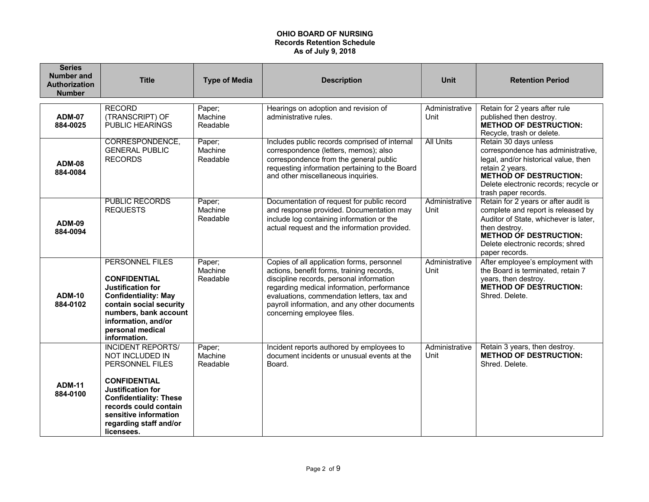| <b>Series</b><br><b>Number and</b><br><b>Authorization</b><br><b>Number</b> | <b>Title</b>                                                                                                                                                                                                                                 | <b>Type of Media</b>          | <b>Description</b>                                                                                                                                                                                                                                                                                            | Unit                   | <b>Retention Period</b>                                                                                                                                                                                                     |
|-----------------------------------------------------------------------------|----------------------------------------------------------------------------------------------------------------------------------------------------------------------------------------------------------------------------------------------|-------------------------------|---------------------------------------------------------------------------------------------------------------------------------------------------------------------------------------------------------------------------------------------------------------------------------------------------------------|------------------------|-----------------------------------------------------------------------------------------------------------------------------------------------------------------------------------------------------------------------------|
| <b>ADM-07</b><br>884-0025                                                   | <b>RECORD</b><br>(TRANSCRIPT) OF<br>PUBLIC HEARINGS                                                                                                                                                                                          | Paper;<br>Machine<br>Readable | Hearings on adoption and revision of<br>administrative rules.                                                                                                                                                                                                                                                 | Administrative<br>Unit | Retain for 2 years after rule<br>published then destroy.<br><b>METHOD OF DESTRUCTION:</b><br>Recycle, trash or delete.                                                                                                      |
| <b>ADM-08</b><br>884-0084                                                   | CORRESPONDENCE,<br><b>GENERAL PUBLIC</b><br><b>RECORDS</b>                                                                                                                                                                                   | Paper;<br>Machine<br>Readable | Includes public records comprised of internal<br>correspondence (letters, memos); also<br>correspondence from the general public<br>requesting information pertaining to the Board<br>and other miscellaneous inquiries.                                                                                      | <b>All Units</b>       | Retain 30 days unless<br>correspondence has administrative,<br>legal, and/or historical value, then<br>retain 2 years.<br><b>METHOD OF DESTRUCTION:</b><br>Delete electronic records; recycle or<br>trash paper records.    |
| <b>ADM-09</b><br>884-0094                                                   | <b>PUBLIC RECORDS</b><br><b>REQUESTS</b>                                                                                                                                                                                                     | Paper;<br>Machine<br>Readable | Documentation of request for public record<br>and response provided. Documentation may<br>include log containing information or the<br>actual request and the information provided.                                                                                                                           | Administrative<br>Unit | Retain for 2 years or after audit is<br>complete and report is released by<br>Auditor of State, whichever is later,<br>then destrov.<br><b>METHOD OF DESTRUCTION:</b><br>Delete electronic records; shred<br>paper records. |
| <b>ADM-10</b><br>884-0102                                                   | <b>PERSONNEL FILES</b><br><b>CONFIDENTIAL</b><br><b>Justification for</b><br><b>Confidentiality: May</b><br>contain social security<br>numbers, bank account<br>information, and/or<br>personal medical<br>information.                      | Paper;<br>Machine<br>Readable | Copies of all application forms, personnel<br>actions, benefit forms, training records,<br>discipline records, personal information<br>regarding medical information, performance<br>evaluations, commendation letters, tax and<br>payroll information, and any other documents<br>concerning employee files. | Administrative<br>Unit | After employee's employment with<br>the Board is terminated, retain 7<br>years, then destroy.<br><b>METHOD OF DESTRUCTION:</b><br>Shred, Delete.                                                                            |
| <b>ADM-11</b><br>884-0100                                                   | <b>INCIDENT REPORTS/</b><br>NOT INCLUDED IN<br>PERSONNEL FILES<br><b>CONFIDENTIAL</b><br><b>Justification for</b><br><b>Confidentiality: These</b><br>records could contain<br>sensitive information<br>regarding staff and/or<br>licensees. | Paper;<br>Machine<br>Readable | Incident reports authored by employees to<br>document incidents or unusual events at the<br>Board.                                                                                                                                                                                                            | Administrative<br>Unit | Retain 3 years, then destroy.<br><b>METHOD OF DESTRUCTION:</b><br>Shred, Delete.                                                                                                                                            |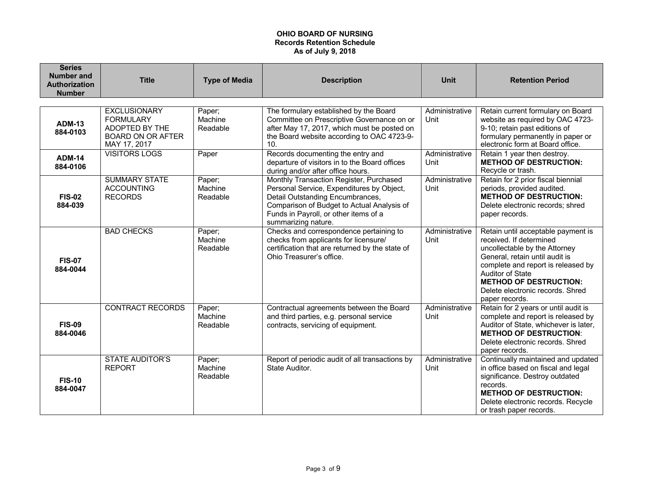| <b>Series</b><br><b>Number and</b><br><b>Authorization</b><br><b>Number</b> | <b>Title</b>                                                                                          | <b>Type of Media</b>          | <b>Description</b>                                                                                                                                                                                                                     | <b>Unit</b>            | <b>Retention Period</b>                                                                                                                                                                                                                                                           |
|-----------------------------------------------------------------------------|-------------------------------------------------------------------------------------------------------|-------------------------------|----------------------------------------------------------------------------------------------------------------------------------------------------------------------------------------------------------------------------------------|------------------------|-----------------------------------------------------------------------------------------------------------------------------------------------------------------------------------------------------------------------------------------------------------------------------------|
|                                                                             |                                                                                                       |                               |                                                                                                                                                                                                                                        |                        |                                                                                                                                                                                                                                                                                   |
| <b>ADM-13</b><br>884-0103                                                   | <b>EXCLUSIONARY</b><br><b>FORMULARY</b><br>ADOPTED BY THE<br><b>BOARD ON OR AFTER</b><br>MAY 17, 2017 | Paper;<br>Machine<br>Readable | The formulary established by the Board<br>Committee on Prescriptive Governance on or<br>after May 17, 2017, which must be posted on<br>the Board website according to OAC 4723-9-<br>10.                                               | Administrative<br>Unit | Retain current formulary on Board<br>website as required by OAC 4723-<br>9-10; retain past editions of<br>formulary permanently in paper or<br>electronic form at Board office.                                                                                                   |
| <b>ADM-14</b><br>884-0106                                                   | <b>VISITORS LOGS</b>                                                                                  | Paper                         | Records documenting the entry and<br>departure of visitors in to the Board offices<br>during and/or after office hours.                                                                                                                | Administrative<br>Unit | Retain 1 year then destroy.<br><b>METHOD OF DESTRUCTION:</b><br>Recycle or trash.                                                                                                                                                                                                 |
| <b>FIS-02</b><br>884-039                                                    | <b>SUMMARY STATE</b><br><b>ACCOUNTING</b><br><b>RECORDS</b>                                           | Paper;<br>Machine<br>Readable | Monthly Transaction Register, Purchased<br>Personal Service, Expenditures by Object,<br>Detail Outstanding Encumbrances,<br>Comparison of Budget to Actual Analysis of<br>Funds in Payroll, or other items of a<br>summarizing nature. | Administrative<br>Unit | Retain for 2 prior fiscal biennial<br>periods, provided audited.<br><b>METHOD OF DESTRUCTION:</b><br>Delete electronic records; shred<br>paper records.                                                                                                                           |
| <b>FIS-07</b><br>884-0044                                                   | <b>BAD CHECKS</b>                                                                                     | Paper;<br>Machine<br>Readable | Checks and correspondence pertaining to<br>checks from applicants for licensure/<br>certification that are returned by the state of<br>Ohio Treasurer's office.                                                                        | Administrative<br>Unit | Retain until acceptable payment is<br>received. If determined<br>uncollectable by the Attorney<br>General, retain until audit is<br>complete and report is released by<br>Auditor of State<br><b>METHOD OF DESTRUCTION:</b><br>Delete electronic records, Shred<br>paper records. |
| <b>FIS-09</b><br>884-0046                                                   | <b>CONTRACT RECORDS</b>                                                                               | Paper;<br>Machine<br>Readable | Contractual agreements between the Board<br>and third parties, e.g. personal service<br>contracts, servicing of equipment.                                                                                                             | Administrative<br>Unit | Retain for 2 years or until audit is<br>complete and report is released by<br>Auditor of State, whichever is later,<br><b>METHOD OF DESTRUCTION:</b><br>Delete electronic records, Shred<br>paper records.                                                                        |
| <b>FIS-10</b><br>884-0047                                                   | <b>STATE AUDITOR'S</b><br><b>REPORT</b>                                                               | Paper;<br>Machine<br>Readable | Report of periodic audit of all transactions by<br>State Auditor.                                                                                                                                                                      | Administrative<br>Unit | Continually maintained and updated<br>in office based on fiscal and legal<br>significance. Destroy outdated<br>records.<br><b>METHOD OF DESTRUCTION:</b><br>Delete electronic records. Recycle<br>or trash paper records.                                                         |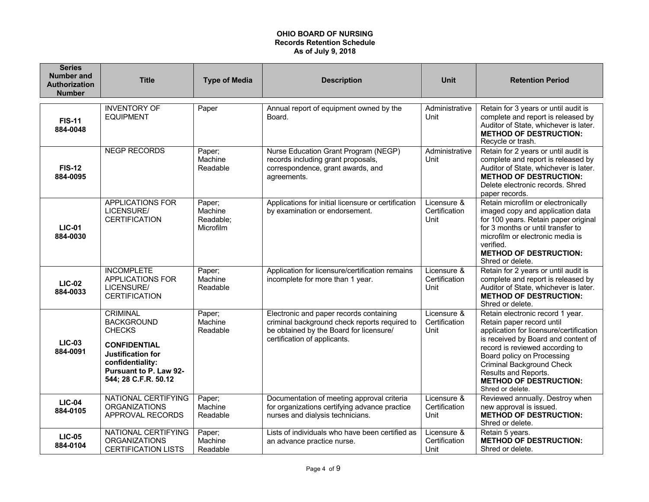| <b>Series</b><br><b>Number and</b><br><b>Authorization</b><br><b>Number</b> | <b>Title</b>                                                                                                                                                                   | <b>Type of Media</b>                        | <b>Description</b>                                                                                                                                                  | <b>Unit</b>                          | <b>Retention Period</b>                                                                                                                                                                                                                                                                                                           |
|-----------------------------------------------------------------------------|--------------------------------------------------------------------------------------------------------------------------------------------------------------------------------|---------------------------------------------|---------------------------------------------------------------------------------------------------------------------------------------------------------------------|--------------------------------------|-----------------------------------------------------------------------------------------------------------------------------------------------------------------------------------------------------------------------------------------------------------------------------------------------------------------------------------|
| <b>FIS-11</b><br>884-0048                                                   | <b>INVENTORY OF</b><br><b>EQUIPMENT</b>                                                                                                                                        | Paper                                       | Annual report of equipment owned by the<br>Board.                                                                                                                   | Administrative<br>Unit               | Retain for 3 years or until audit is<br>complete and report is released by<br>Auditor of State, whichever is later.<br><b>METHOD OF DESTRUCTION:</b><br>Recycle or trash.                                                                                                                                                         |
| <b>FIS-12</b><br>884-0095                                                   | <b>NEGP RECORDS</b>                                                                                                                                                            | Paper;<br>Machine<br>Readable               | Nurse Education Grant Program (NEGP)<br>records including grant proposals,<br>correspondence, grant awards, and<br>agreements.                                      | Administrative<br>Unit               | Retain for 2 years or until audit is<br>complete and report is released by<br>Auditor of State, whichever is later.<br><b>METHOD OF DESTRUCTION:</b><br>Delete electronic records, Shred<br>paper records.                                                                                                                        |
| <b>LIC-01</b><br>884-0030                                                   | <b>APPLICATIONS FOR</b><br>LICENSURE/<br><b>CERTIFICATION</b>                                                                                                                  | Paper;<br>Machine<br>Readable;<br>Microfilm | Applications for initial licensure or certification<br>by examination or endorsement.                                                                               | Licensure &<br>Certification<br>Unit | Retain microfilm or electronically<br>imaged copy and application data<br>for 100 years. Retain paper original<br>for 3 months or until transfer to<br>microfilm or electronic media is<br>verified.<br><b>METHOD OF DESTRUCTION:</b><br>Shred or delete.                                                                         |
| <b>LIC-02</b><br>884-0033                                                   | <b>INCOMPLETE</b><br>APPLICATIONS FOR<br>LICENSURE/<br><b>CERTIFICATION</b>                                                                                                    | Paper;<br>Machine<br>Readable               | Application for licensure/certification remains<br>incomplete for more than 1 year.                                                                                 | Licensure &<br>Certification<br>Unit | Retain for 2 years or until audit is<br>complete and report is released by<br>Auditor of State, whichever is later.<br><b>METHOD OF DESTRUCTION:</b><br>Shred or delete.                                                                                                                                                          |
| <b>LIC-03</b><br>884-0091                                                   | <b>CRIMINAL</b><br><b>BACKGROUND</b><br><b>CHECKS</b><br><b>CONFIDENTIAL</b><br><b>Justification for</b><br>confidentiality:<br>Pursuant to P. Law 92-<br>544; 28 C.F.R. 50.12 | Paper;<br>Machine<br>Readable               | Electronic and paper records containing<br>criminal background check reports required to<br>be obtained by the Board for licensure/<br>certification of applicants. | Licensure &<br>Certification<br>Unit | Retain electronic record 1 year.<br>Retain paper record until<br>application for licensure/certification<br>is received by Board and content of<br>record is reviewed according to<br>Board policy on Processing<br><b>Criminal Background Check</b><br>Results and Reports.<br><b>METHOD OF DESTRUCTION:</b><br>Shred or delete. |
| $LIC-04$<br>884-0105                                                        | NATIONAL CERTIFYING<br><b>ORGANIZATIONS</b><br>APPROVAL RECORDS                                                                                                                | Paper;<br>Machine<br>Readable               | Documentation of meeting approval criteria<br>for organizations certifying advance practice<br>nurses and dialysis technicians.                                     | Licensure &<br>Certification<br>Unit | Reviewed annually. Destroy when<br>new approval is issued.<br><b>METHOD OF DESTRUCTION:</b><br>Shred or delete.                                                                                                                                                                                                                   |
| <b>LIC-05</b><br>884-0104                                                   | NATIONAL CERTIFYING<br><b>ORGANIZATIONS</b><br><b>CERTIFICATION LISTS</b>                                                                                                      | Paper;<br>Machine<br>Readable               | Lists of individuals who have been certified as<br>an advance practice nurse.                                                                                       | Licensure &<br>Certification<br>Unit | Retain 5 years.<br><b>METHOD OF DESTRUCTION:</b><br>Shred or delete.                                                                                                                                                                                                                                                              |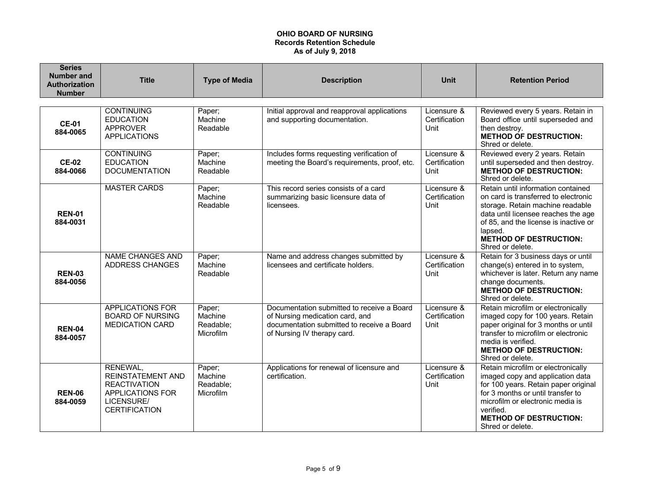| <b>Series</b><br>Number and<br><b>Authorization</b><br><b>Number</b> | <b>Title</b>                                                                                                          | <b>Type of Media</b>                        | <b>Description</b>                                                                                                                                         | <b>Unit</b>                          | <b>Retention Period</b>                                                                                                                                                                                                                                        |
|----------------------------------------------------------------------|-----------------------------------------------------------------------------------------------------------------------|---------------------------------------------|------------------------------------------------------------------------------------------------------------------------------------------------------------|--------------------------------------|----------------------------------------------------------------------------------------------------------------------------------------------------------------------------------------------------------------------------------------------------------------|
|                                                                      |                                                                                                                       |                                             |                                                                                                                                                            |                                      |                                                                                                                                                                                                                                                                |
| <b>CE-01</b><br>884-0065                                             | <b>CONTINUING</b><br><b>EDUCATION</b><br><b>APPROVER</b><br><b>APPLICATIONS</b>                                       | Paper;<br>Machine<br>Readable               | Initial approval and reapproval applications<br>and supporting documentation.                                                                              | Licensure &<br>Certification<br>Unit | Reviewed every 5 years. Retain in<br>Board office until superseded and<br>then destroy.<br><b>METHOD OF DESTRUCTION:</b><br>Shred or delete.                                                                                                                   |
| <b>CE-02</b><br>884-0066                                             | <b>CONTINUING</b><br><b>EDUCATION</b><br><b>DOCUMENTATION</b>                                                         | Paper;<br>Machine<br>Readable               | Includes forms requesting verification of<br>meeting the Board's requirements, proof, etc.                                                                 | Licensure &<br>Certification<br>Unit | Reviewed every 2 years. Retain<br>until superseded and then destroy.<br><b>METHOD OF DESTRUCTION:</b><br>Shred or delete.                                                                                                                                      |
| <b>REN-01</b><br>884-0031                                            | <b>MASTER CARDS</b>                                                                                                   | Paper;<br>Machine<br>Readable               | This record series consists of a card<br>summarizing basic licensure data of<br>licensees.                                                                 | Licensure &<br>Certification<br>Unit | Retain until information contained<br>on card is transferred to electronic<br>storage. Retain machine readable<br>data until licensee reaches the age<br>of 85, and the license is inactive or<br>lapsed.<br><b>METHOD OF DESTRUCTION:</b><br>Shred or delete. |
| <b>REN-03</b><br>884-0056                                            | <b>NAME CHANGES AND</b><br><b>ADDRESS CHANGES</b>                                                                     | Paper;<br>Machine<br>Readable               | Name and address changes submitted by<br>licensees and certificate holders.                                                                                | Licensure &<br>Certification<br>Unit | Retain for 3 business days or until<br>change(s) entered in to system,<br>whichever is later. Return any name<br>change documents.<br><b>METHOD OF DESTRUCTION:</b><br>Shred or delete.                                                                        |
| <b>REN-04</b><br>884-0057                                            | <b>APPLICATIONS FOR</b><br><b>BOARD OF NURSING</b><br><b>MEDICATION CARD</b>                                          | Paper;<br>Machine<br>Readable;<br>Microfilm | Documentation submitted to receive a Board<br>of Nursing medication card, and<br>documentation submitted to receive a Board<br>of Nursing IV therapy card. | Licensure &<br>Certification<br>Unit | Retain microfilm or electronically<br>imaged copy for 100 years. Retain<br>paper original for 3 months or until<br>transfer to microfilm or electronic<br>media is verified.<br><b>METHOD OF DESTRUCTION:</b><br>Shred or delete.                              |
| <b>REN-06</b><br>884-0059                                            | RENEWAL,<br><b>REINSTATEMENT AND</b><br><b>REACTIVATION</b><br>APPLICATIONS FOR<br>LICENSURE/<br><b>CERTIFICATION</b> | Paper;<br>Machine<br>Readable;<br>Microfilm | Applications for renewal of licensure and<br>certification.                                                                                                | Licensure &<br>Certification<br>Unit | Retain microfilm or electronically<br>imaged copy and application data<br>for 100 years. Retain paper original<br>for 3 months or until transfer to<br>microfilm or electronic media is<br>verified.<br><b>METHOD OF DESTRUCTION:</b><br>Shred or delete.      |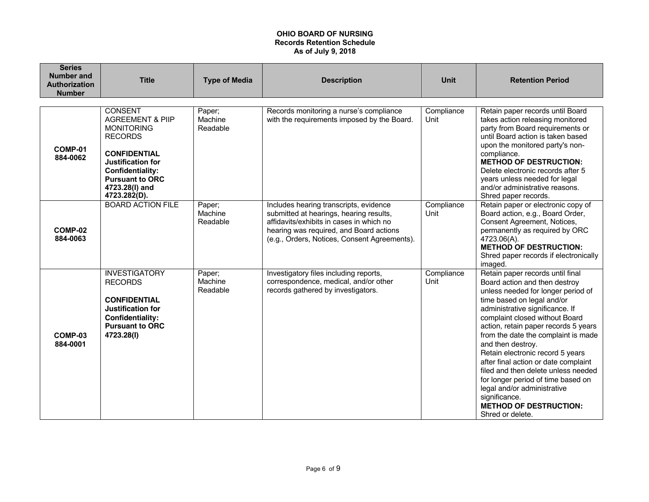| <b>Series</b><br><b>Number and</b><br>Authorization<br><b>Number</b> | <b>Title</b>                                                                                                                                                                                                            | <b>Type of Media</b>          | <b>Description</b>                                                                                                                                                                                                       | <b>Unit</b>        | <b>Retention Period</b>                                                                                                                                                                                                                                                                                                                                                                                                                                                                                                                                                      |
|----------------------------------------------------------------------|-------------------------------------------------------------------------------------------------------------------------------------------------------------------------------------------------------------------------|-------------------------------|--------------------------------------------------------------------------------------------------------------------------------------------------------------------------------------------------------------------------|--------------------|------------------------------------------------------------------------------------------------------------------------------------------------------------------------------------------------------------------------------------------------------------------------------------------------------------------------------------------------------------------------------------------------------------------------------------------------------------------------------------------------------------------------------------------------------------------------------|
| COMP-01<br>884-0062                                                  | <b>CONSENT</b><br><b>AGREEMENT &amp; PIIP</b><br><b>MONITORING</b><br><b>RECORDS</b><br><b>CONFIDENTIAL</b><br>Justification for<br><b>Confidentiality:</b><br><b>Pursuant to ORC</b><br>4723.28(I) and<br>4723.282(D). | Paper;<br>Machine<br>Readable | Records monitoring a nurse's compliance<br>with the requirements imposed by the Board.                                                                                                                                   | Compliance<br>Unit | Retain paper records until Board<br>takes action releasing monitored<br>party from Board requirements or<br>until Board action is taken based<br>upon the monitored party's non-<br>compliance.<br><b>METHOD OF DESTRUCTION:</b><br>Delete electronic records after 5<br>years unless needed for legal<br>and/or administrative reasons.<br>Shred paper records.                                                                                                                                                                                                             |
| COMP-02<br>884-0063                                                  | <b>BOARD ACTION FILE</b>                                                                                                                                                                                                | Paper;<br>Machine<br>Readable | Includes hearing transcripts, evidence<br>submitted at hearings, hearing results,<br>affidavits/exhibits in cases in which no<br>hearing was required, and Board actions<br>(e.g., Orders, Notices, Consent Agreements). | Compliance<br>Unit | Retain paper or electronic copy of<br>Board action, e.g., Board Order,<br>Consent Agreement, Notices,<br>permanently as required by ORC<br>4723.06(A).<br><b>METHOD OF DESTRUCTION:</b><br>Shred paper records if electronically<br>imaged.                                                                                                                                                                                                                                                                                                                                  |
| COMP-03<br>884-0001                                                  | <b>INVESTIGATORY</b><br><b>RECORDS</b><br><b>CONFIDENTIAL</b><br><b>Justification for</b><br><b>Confidentiality:</b><br><b>Pursuant to ORC</b><br>4723.28(I)                                                            | Paper;<br>Machine<br>Readable | Investigatory files including reports,<br>correspondence, medical, and/or other<br>records gathered by investigators.                                                                                                    | Compliance<br>Unit | Retain paper records until final<br>Board action and then destroy<br>unless needed for longer period of<br>time based on legal and/or<br>administrative significance. If<br>complaint closed without Board<br>action, retain paper records 5 years<br>from the date the complaint is made<br>and then destroy.<br>Retain electronic record 5 years<br>after final action or date complaint<br>filed and then delete unless needed<br>for longer period of time based on<br>legal and/or administrative<br>significance.<br><b>METHOD OF DESTRUCTION:</b><br>Shred or delete. |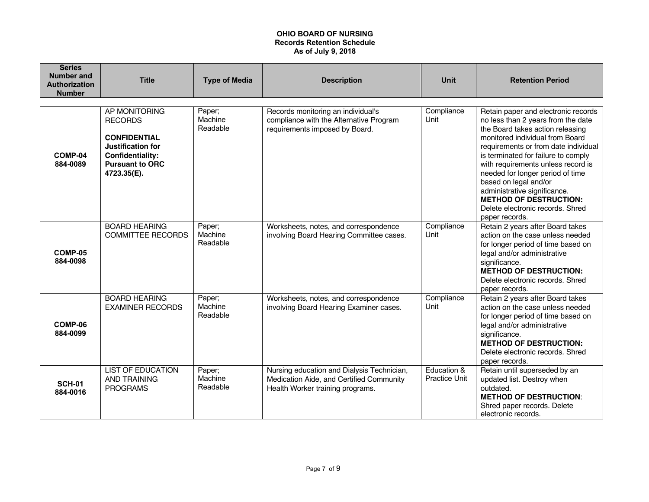| <b>Series</b><br>Number and<br><b>Authorization</b><br><b>Number</b> | <b>Title</b>                                                                                                                             | <b>Type of Media</b>          | <b>Description</b>                                                                                                         | <b>Unit</b>                         | <b>Retention Period</b>                                                                                                                                                                                                                                                                                                                                                                                                                                   |
|----------------------------------------------------------------------|------------------------------------------------------------------------------------------------------------------------------------------|-------------------------------|----------------------------------------------------------------------------------------------------------------------------|-------------------------------------|-----------------------------------------------------------------------------------------------------------------------------------------------------------------------------------------------------------------------------------------------------------------------------------------------------------------------------------------------------------------------------------------------------------------------------------------------------------|
| COMP-04<br>884-0089                                                  | AP MONITORING<br><b>RECORDS</b><br><b>CONFIDENTIAL</b><br>Justification for<br>Confidentiality:<br><b>Pursuant to ORC</b><br>4723.35(E). | Paper;<br>Machine<br>Readable | Records monitoring an individual's<br>compliance with the Alternative Program<br>requirements imposed by Board.            | Compliance<br>Unit                  | Retain paper and electronic records<br>no less than 2 years from the date<br>the Board takes action releasing<br>monitored individual from Board<br>requirements or from date individual<br>is terminated for failure to comply<br>with requirements unless record is<br>needed for longer period of time<br>based on legal and/or<br>administrative significance.<br><b>METHOD OF DESTRUCTION:</b><br>Delete electronic records. Shred<br>paper records. |
| COMP-05<br>884-0098                                                  | <b>BOARD HEARING</b><br><b>COMMITTEE RECORDS</b>                                                                                         | Paper;<br>Machine<br>Readable | Worksheets, notes, and correspondence<br>involving Board Hearing Committee cases.                                          | Compliance<br>Unit                  | Retain 2 years after Board takes<br>action on the case unless needed<br>for longer period of time based on<br>legal and/or administrative<br>significance.<br><b>METHOD OF DESTRUCTION:</b><br>Delete electronic records. Shred<br>paper records.                                                                                                                                                                                                         |
| COMP-06<br>884-0099                                                  | <b>BOARD HEARING</b><br><b>EXAMINER RECORDS</b>                                                                                          | Paper;<br>Machine<br>Readable | Worksheets, notes, and correspondence<br>involving Board Hearing Examiner cases.                                           | Compliance<br>Unit                  | Retain 2 years after Board takes<br>action on the case unless needed<br>for longer period of time based on<br>legal and/or administrative<br>significance.<br><b>METHOD OF DESTRUCTION:</b><br>Delete electronic records. Shred<br>paper records.                                                                                                                                                                                                         |
| <b>SCH-01</b><br>884-0016                                            | <b>LIST OF EDUCATION</b><br><b>AND TRAINING</b><br><b>PROGRAMS</b>                                                                       | Paper;<br>Machine<br>Readable | Nursing education and Dialysis Technician,<br>Medication Aide, and Certified Community<br>Health Worker training programs. | Education &<br><b>Practice Unit</b> | Retain until superseded by an<br>updated list. Destroy when<br>outdated.<br><b>METHOD OF DESTRUCTION:</b><br>Shred paper records. Delete<br>electronic records.                                                                                                                                                                                                                                                                                           |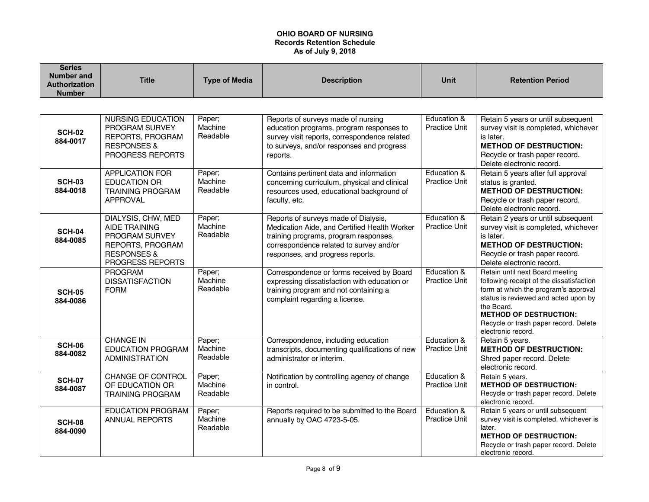| <b>Series</b><br><b>Number and</b><br><b>Authorization</b><br><b>Number</b> | <b>Title</b>                                                                                                                          | <b>Type of Media</b>          | <b>Description</b>                                                                                                                                                                                           | <b>Unit</b>                         | <b>Retention Period</b>                                                                                                                                                                                                                                                   |
|-----------------------------------------------------------------------------|---------------------------------------------------------------------------------------------------------------------------------------|-------------------------------|--------------------------------------------------------------------------------------------------------------------------------------------------------------------------------------------------------------|-------------------------------------|---------------------------------------------------------------------------------------------------------------------------------------------------------------------------------------------------------------------------------------------------------------------------|
|                                                                             |                                                                                                                                       |                               |                                                                                                                                                                                                              |                                     |                                                                                                                                                                                                                                                                           |
| <b>SCH-02</b><br>884-0017                                                   | <b>NURSING EDUCATION</b><br>PROGRAM SURVEY<br>REPORTS, PROGRAM<br><b>RESPONSES &amp;</b><br>PROGRESS REPORTS                          | Paper;<br>Machine<br>Readable | Reports of surveys made of nursing<br>education programs, program responses to<br>survey visit reports, correspondence related<br>to surveys, and/or responses and progress<br>reports.                      | Education &<br><b>Practice Unit</b> | Retain 5 years or until subsequent<br>survey visit is completed, whichever<br>is later.<br><b>METHOD OF DESTRUCTION:</b><br>Recycle or trash paper record.<br>Delete electronic record.                                                                                   |
| <b>SCH-03</b><br>884-0018                                                   | <b>APPLICATION FOR</b><br><b>EDUCATION OR</b><br><b>TRAINING PROGRAM</b><br><b>APPROVAL</b>                                           | Paper;<br>Machine<br>Readable | Contains pertinent data and information<br>concerning curriculum, physical and clinical<br>resources used, educational background of<br>faculty, etc.                                                        | Education &<br>Practice Unit        | Retain 5 years after full approval<br>status is granted.<br><b>METHOD OF DESTRUCTION:</b><br>Recycle or trash paper record.<br>Delete electronic record.                                                                                                                  |
| <b>SCH-04</b><br>884-0085                                                   | DIALYSIS, CHW, MED<br><b>AIDE TRAINING</b><br>PROGRAM SURVEY<br><b>REPORTS, PROGRAM</b><br><b>RESPONSES &amp;</b><br>PROGRESS REPORTS | Paper;<br>Machine<br>Readable | Reports of surveys made of Dialysis,<br>Medication Aide, and Certified Health Worker<br>training programs, program responses,<br>correspondence related to survey and/or<br>responses, and progress reports. | Education &<br><b>Practice Unit</b> | Retain 2 years or until subsequent<br>survey visit is completed, whichever<br>is later.<br><b>METHOD OF DESTRUCTION:</b><br>Recycle or trash paper record.<br>Delete electronic record.                                                                                   |
| <b>SCH-05</b><br>884-0086                                                   | <b>PROGRAM</b><br><b>DISSATISFACTION</b><br><b>FORM</b>                                                                               | Paper;<br>Machine<br>Readable | Correspondence or forms received by Board<br>expressing dissatisfaction with education or<br>training program and not containing a<br>complaint regarding a license.                                         | Education &<br><b>Practice Unit</b> | Retain until next Board meeting<br>following receipt of the dissatisfaction<br>form at which the program's approval<br>status is reviewed and acted upon by<br>the Board.<br><b>METHOD OF DESTRUCTION:</b><br>Recycle or trash paper record. Delete<br>electronic record. |
| <b>SCH-06</b><br>884-0082                                                   | <b>CHANGE IN</b><br><b>EDUCATION PROGRAM</b><br><b>ADMINISTRATION</b>                                                                 | Paper;<br>Machine<br>Readable | Correspondence, including education<br>transcripts, documenting qualifications of new<br>administrator or interim.                                                                                           | Education &<br>Practice Unit        | Retain 5 years.<br><b>METHOD OF DESTRUCTION:</b><br>Shred paper record. Delete<br>electronic record.                                                                                                                                                                      |
| <b>SCH-07</b><br>884-0087                                                   | CHANGE OF CONTROL<br>OF EDUCATION OR<br><b>TRAINING PROGRAM</b>                                                                       | Paper;<br>Machine<br>Readable | Notification by controlling agency of change<br>in control.                                                                                                                                                  | Education &<br><b>Practice Unit</b> | Retain 5 years.<br><b>METHOD OF DESTRUCTION:</b><br>Recycle or trash paper record. Delete<br>electronic record.                                                                                                                                                           |
| <b>SCH-08</b><br>884-0090                                                   | <b>EDUCATION PROGRAM</b><br><b>ANNUAL REPORTS</b>                                                                                     | Paper;<br>Machine<br>Readable | Reports required to be submitted to the Board<br>annually by OAC 4723-5-05.                                                                                                                                  | Education &<br>Practice Unit        | Retain 5 years or until subsequent<br>survey visit is completed, whichever is<br>later.<br><b>METHOD OF DESTRUCTION:</b><br>Recycle or trash paper record. Delete<br>electronic record.                                                                                   |